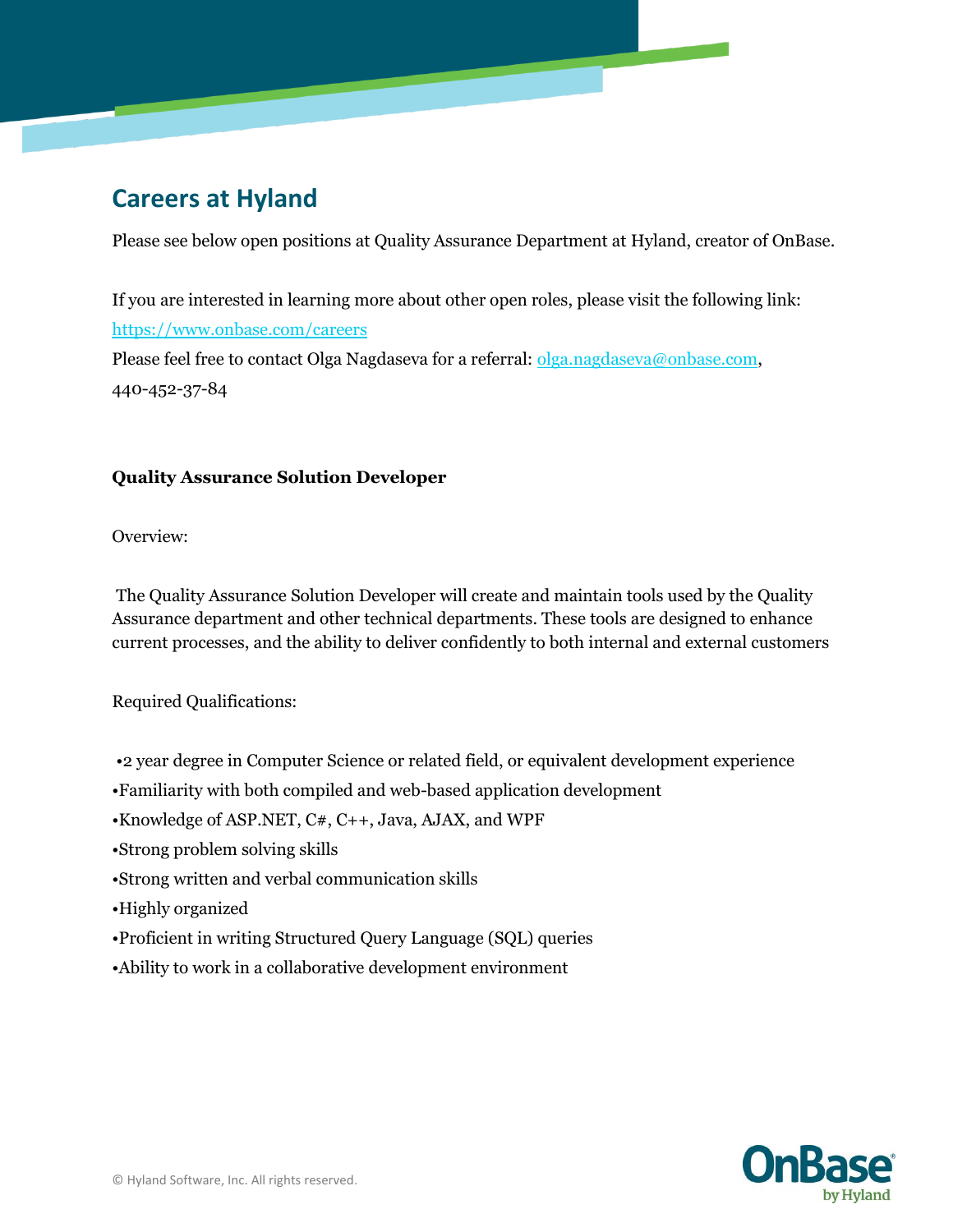# **Careers at Hyland**

Please see below open positions at Quality Assurance Department at Hyland, creator of OnBase.

If you are interested in learning more about other open roles, please visit the following link: <https://www.onbase.com/careers> Please feel free to contact Olga Nagdaseva for a referral: [olga.nagdaseva@onbase.com,](mailto:olga.nagdaseva@onbase.com) 440-452-37-84

# **Quality Assurance Solution Developer**

Overview:

The Quality Assurance Solution Developer will create and maintain tools used by the Quality Assurance department and other technical departments. These tools are designed to enhance current processes, and the ability to deliver confidently to both internal and external customers

# Required Qualifications:

- •2 year degree in Computer Science or related field, or equivalent development experience
- •Familiarity with both compiled and web-based application development
- •Knowledge of ASP.NET, C#, C++, Java, AJAX, and WPF
- •Strong problem solving skills
- •Strong written and verbal communication skills
- •Highly organized
- •Proficient in writing Structured Query Language (SQL) queries
- •Ability to work in a collaborative development environment

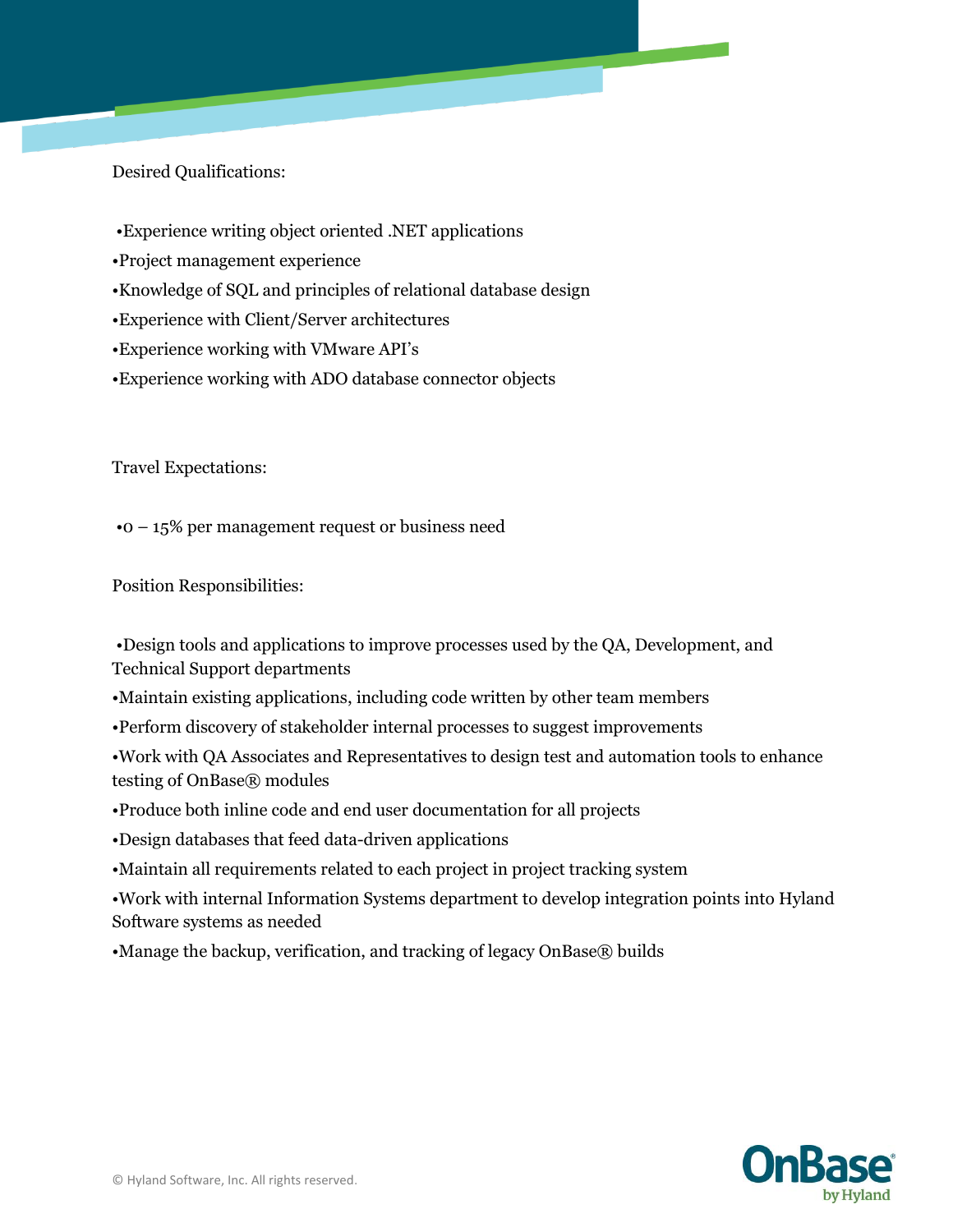Desired Qualifications:

- •Experience writing object oriented .NET applications
- •Project management experience
- •Knowledge of SQL and principles of relational database design
- •Experience with Client/Server architectures
- •Experience working with VMware API's
- •Experience working with ADO database connector objects

Travel Expectations:

•0 – 15% per management request or business need

Position Responsibilities:

•Design tools and applications to improve processes used by the QA, Development, and Technical Support departments

- •Maintain existing applications, including code written by other team members
- •Perform discovery of stakeholder internal processes to suggest improvements

•Work with QA Associates and Representatives to design test and automation tools to enhance testing of OnBase® modules

- •Produce both inline code and end user documentation for all projects
- •Design databases that feed data-driven applications
- •Maintain all requirements related to each project in project tracking system

•Work with internal Information Systems department to develop integration points into Hyland Software systems as needed

•Manage the backup, verification, and tracking of legacy OnBase® builds

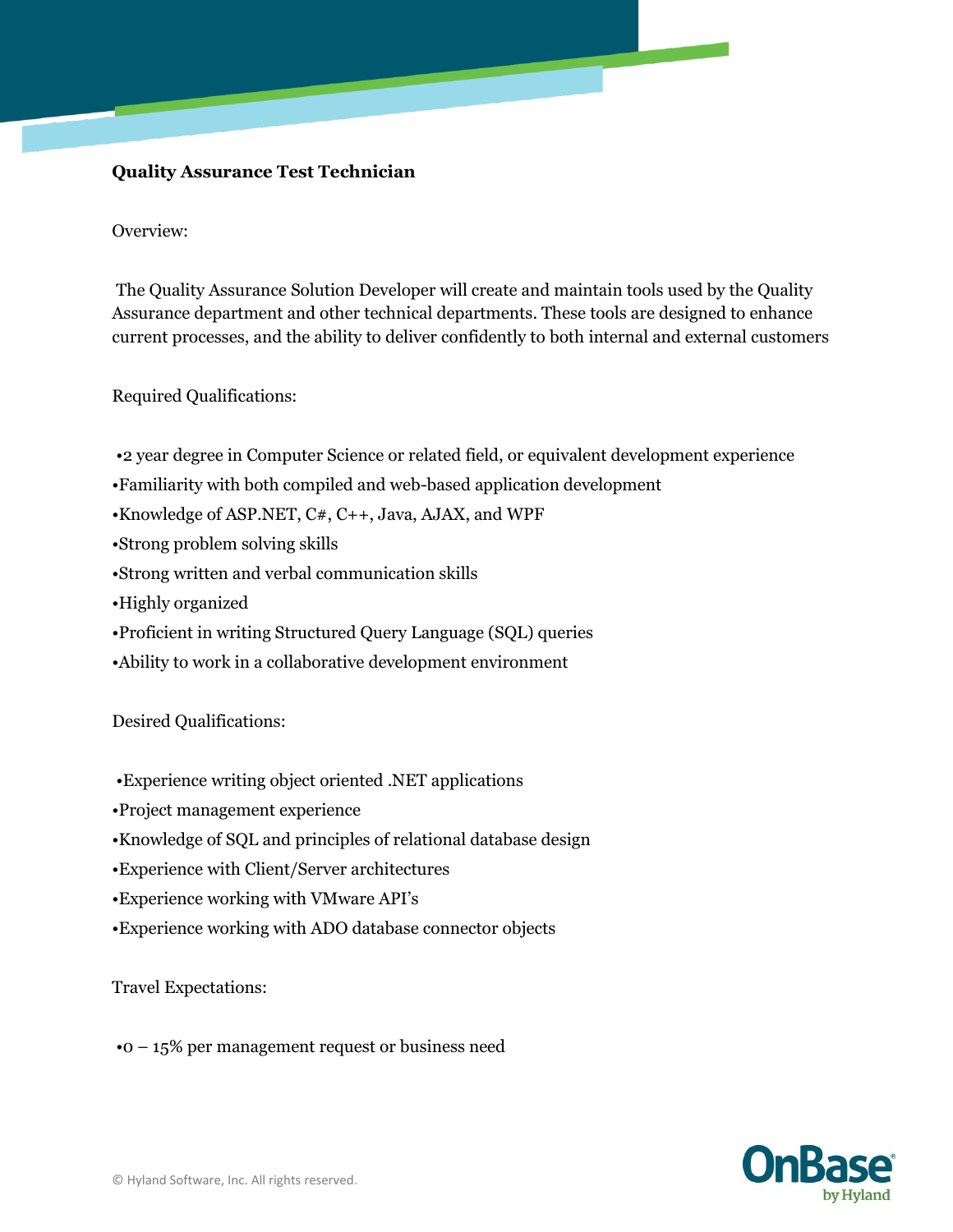## **Quality Assurance Test Technician**

#### Overview:

The Quality Assurance Solution Developer will create and maintain tools used by the Quality Assurance department and other technical departments. These tools are designed to enhance current processes, and the ability to deliver confidently to both internal and external customers

Required Qualifications:

- •2 year degree in Computer Science or related field, or equivalent development experience
- •Familiarity with both compiled and web-based application development
- •Knowledge of ASP.NET, C#, C++, Java, AJAX, and WPF
- •Strong problem solving skills
- •Strong written and verbal communication skills
- •Highly organized
- •Proficient in writing Structured Query Language (SQL) queries
- •Ability to work in a collaborative development environment

Desired Qualifications:

- •Experience writing object oriented .NET applications
- •Project management experience
- •Knowledge of SQL and principles of relational database design
- •Experience with Client/Server architectures
- •Experience working with VMware API's
- •Experience working with ADO database connector objects

#### Travel Expectations:

•0 – 15% per management request or business need

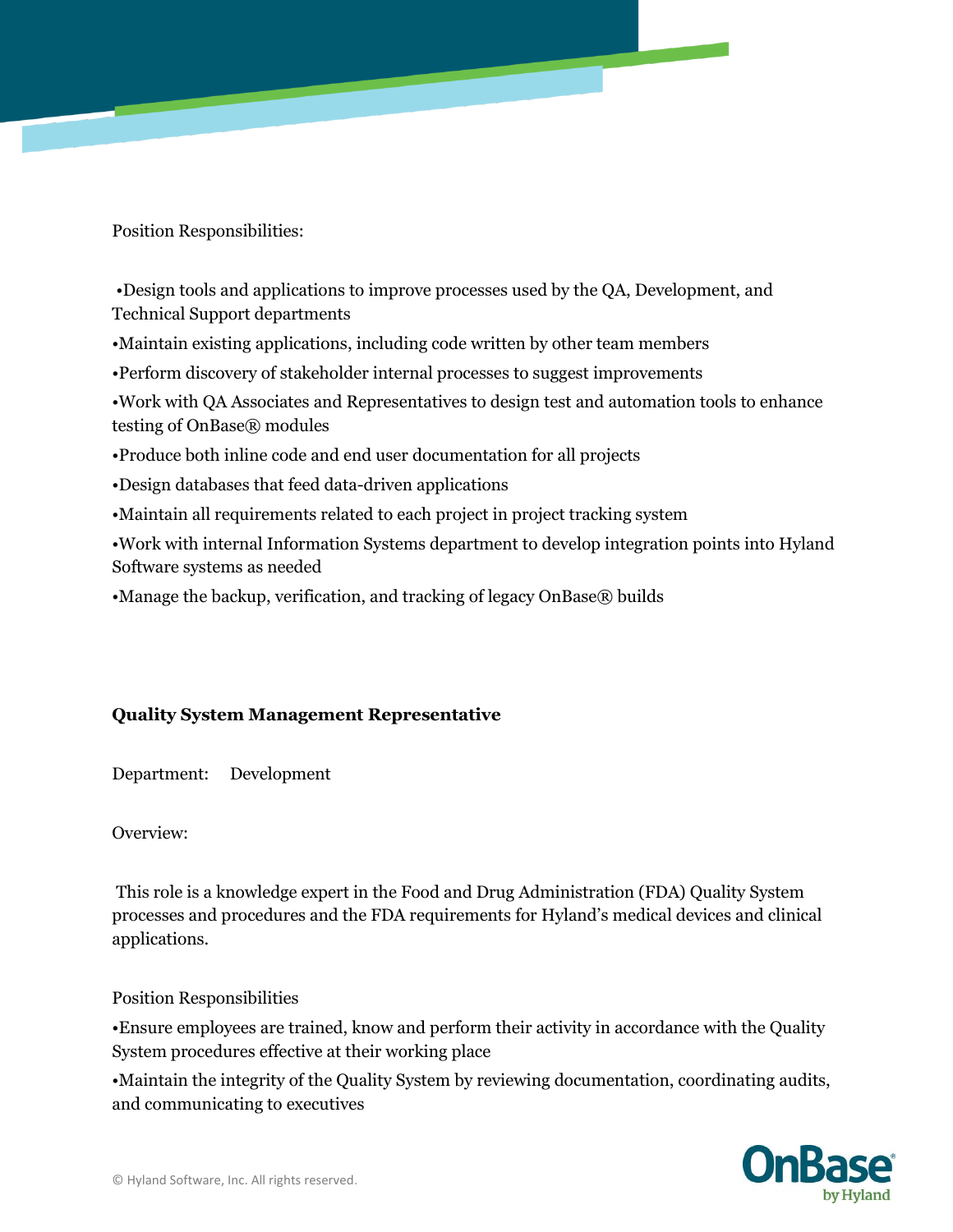Position Responsibilities:

•Design tools and applications to improve processes used by the QA, Development, and Technical Support departments

•Maintain existing applications, including code written by other team members

•Perform discovery of stakeholder internal processes to suggest improvements

•Work with QA Associates and Representatives to design test and automation tools to enhance testing of OnBase® modules

•Produce both inline code and end user documentation for all projects

•Design databases that feed data-driven applications

•Maintain all requirements related to each project in project tracking system

•Work with internal Information Systems department to develop integration points into Hyland Software systems as needed

•Manage the backup, verification, and tracking of legacy OnBase® builds

# **Quality System Management Representative**

Department: Development

Overview:

This role is a knowledge expert in the Food and Drug Administration (FDA) Quality System processes and procedures and the FDA requirements for Hyland's medical devices and clinical applications.

Position Responsibilities

•Ensure employees are trained, know and perform their activity in accordance with the Quality System procedures effective at their working place

•Maintain the integrity of the Quality System by reviewing documentation, coordinating audits, and communicating to executives

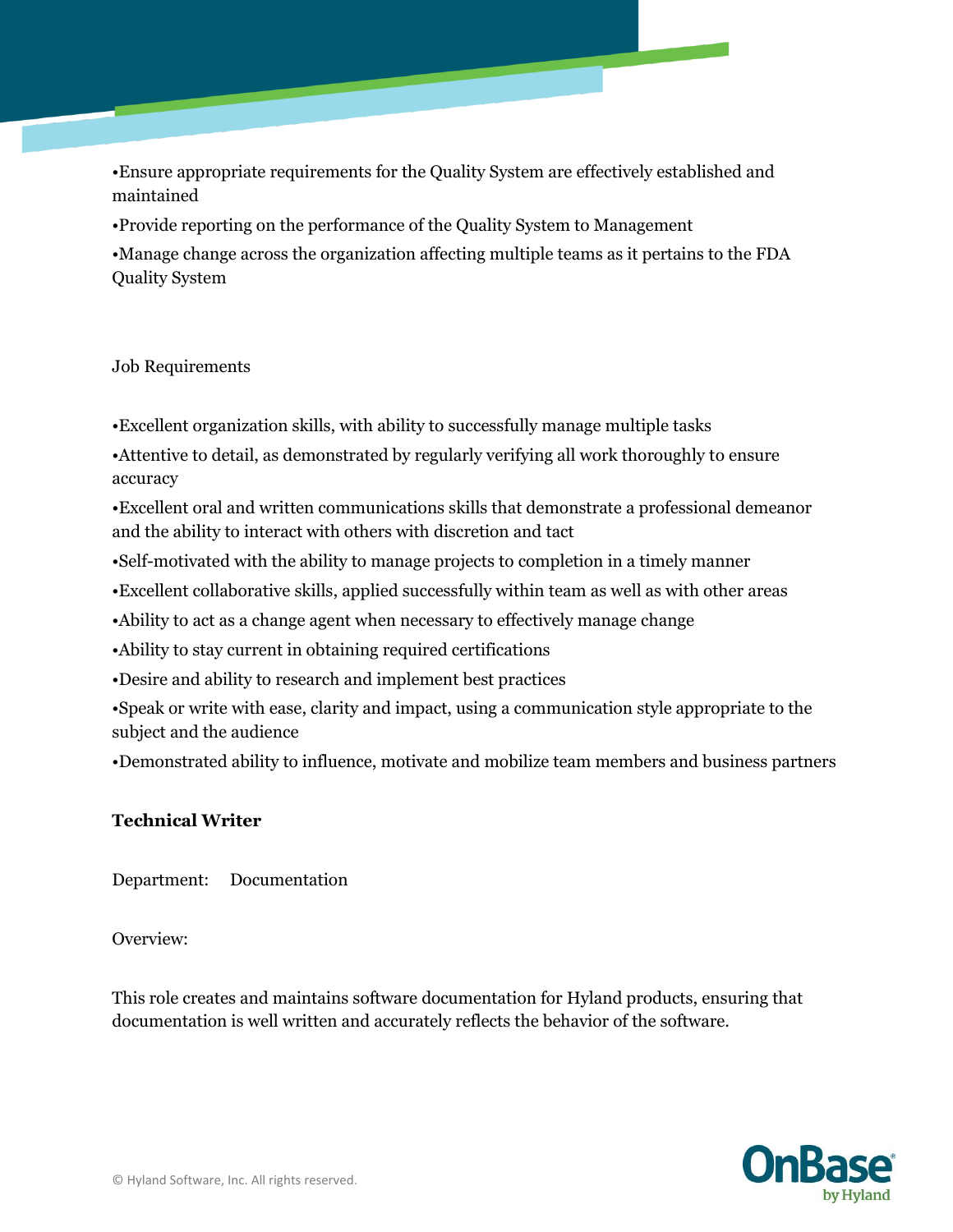•Ensure appropriate requirements for the Quality System are effectively established and maintained

•Provide reporting on the performance of the Quality System to Management

•Manage change across the organization affecting multiple teams as it pertains to the FDA Quality System

## Job Requirements

•Excellent organization skills, with ability to successfully manage multiple tasks

•Attentive to detail, as demonstrated by regularly verifying all work thoroughly to ensure accuracy

•Excellent oral and written communications skills that demonstrate a professional demeanor and the ability to interact with others with discretion and tact

•Self-motivated with the ability to manage projects to completion in a timely manner

•Excellent collaborative skills, applied successfully within team as well as with other areas

•Ability to act as a change agent when necessary to effectively manage change

•Ability to stay current in obtaining required certifications

•Desire and ability to research and implement best practices

•Speak or write with ease, clarity and impact, using a communication style appropriate to the subject and the audience

•Demonstrated ability to influence, motivate and mobilize team members and business partners

# **Technical Writer**

Department: Documentation

Overview:

This role creates and maintains software documentation for Hyland products, ensuring that documentation is well written and accurately reflects the behavior of the software.

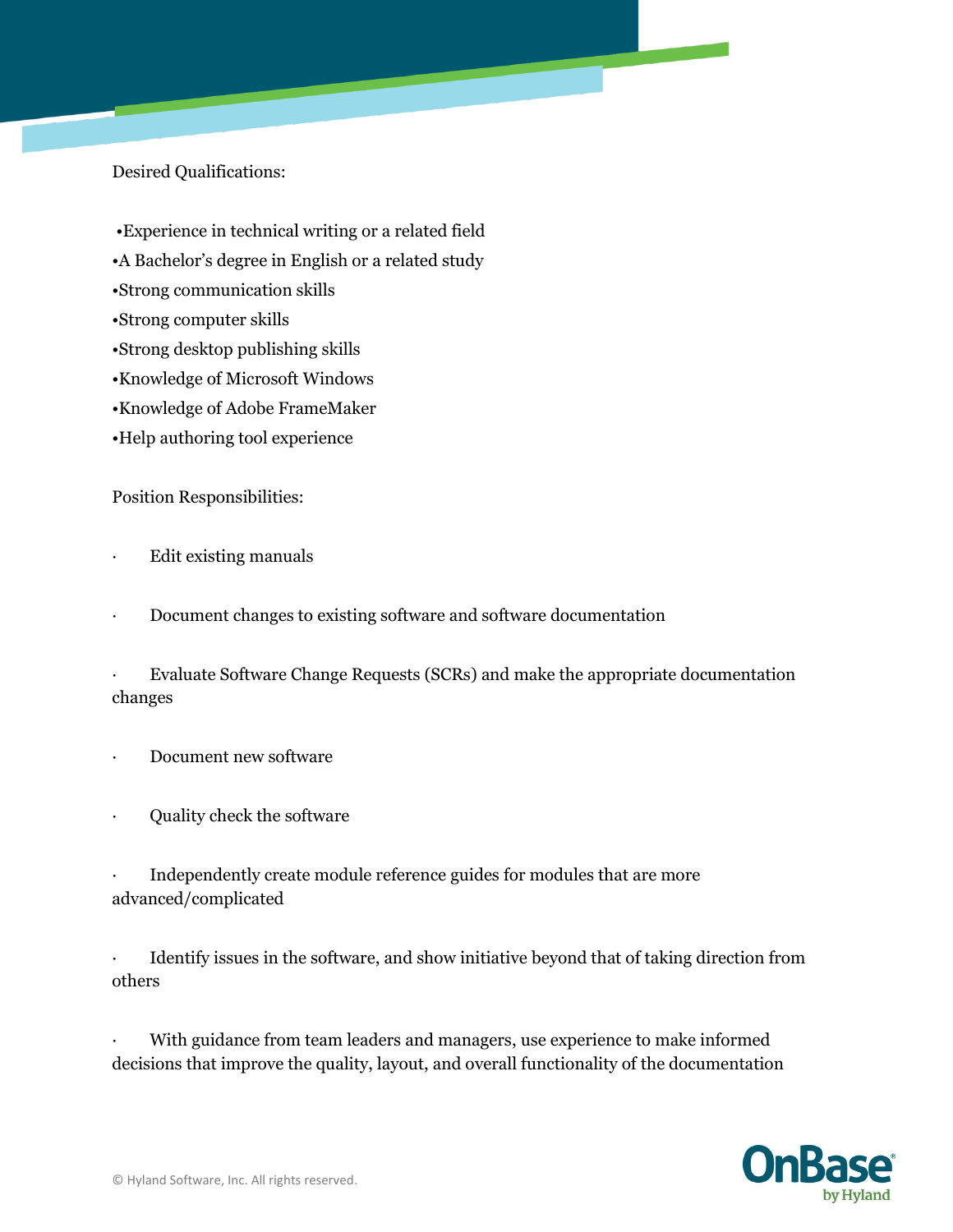Desired Qualifications:

- •Experience in technical writing or a related field
- •A Bachelor's degree in English or a related study
- •Strong communication skills
- •Strong computer skills
- •Strong desktop publishing skills
- •Knowledge of Microsoft Windows
- •Knowledge of Adobe FrameMaker
- •Help authoring tool experience

Position Responsibilities:

- Edit existing manuals
- Document changes to existing software and software documentation

· Evaluate Software Change Requests (SCRs) and make the appropriate documentation changes

- Document new software
- · Quality check the software

Independently create module reference guides for modules that are more advanced/complicated

· Identify issues in the software, and show initiative beyond that of taking direction from others

With guidance from team leaders and managers, use experience to make informed decisions that improve the quality, layout, and overall functionality of the documentation

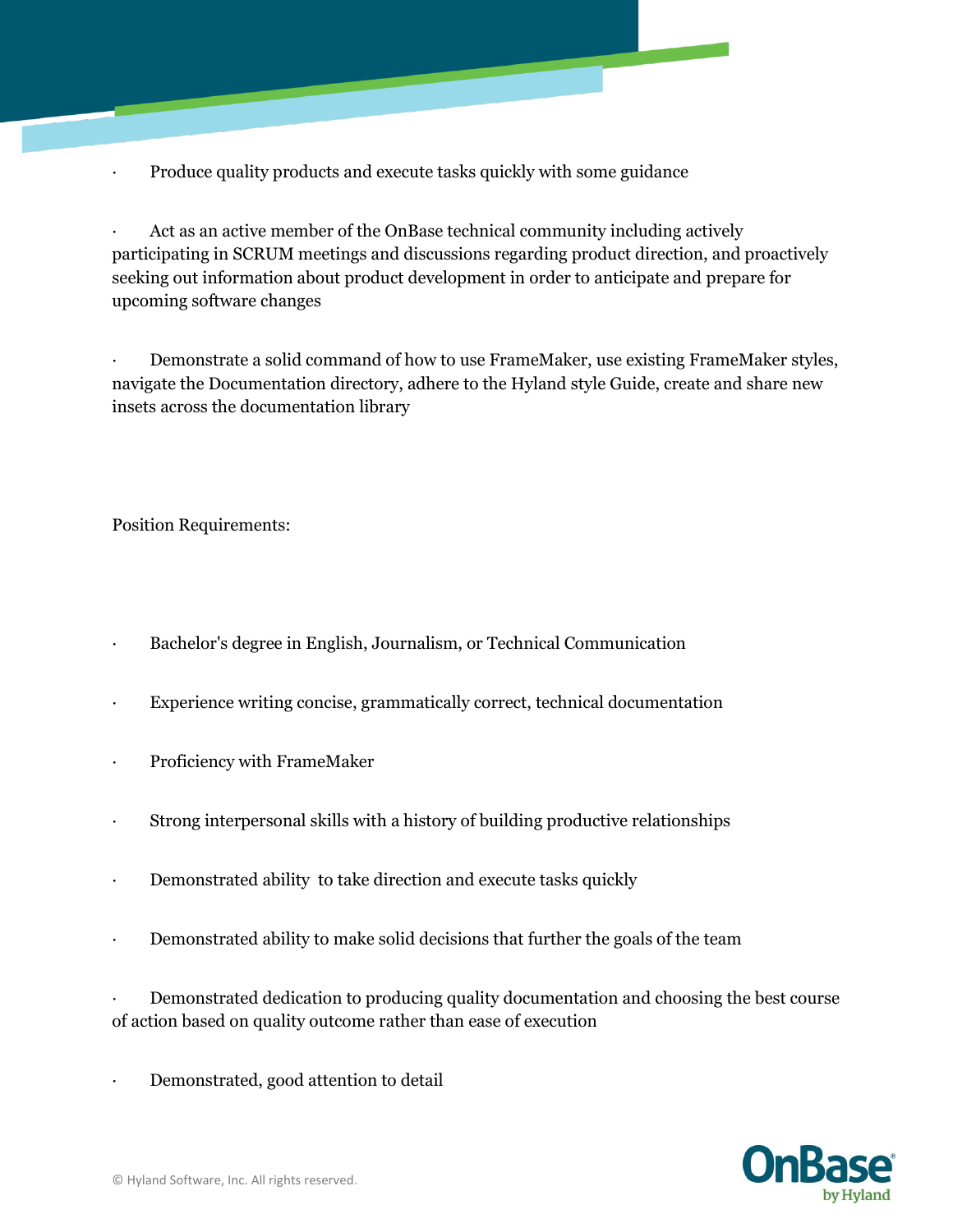· Produce quality products and execute tasks quickly with some guidance

Act as an active member of the OnBase technical community including actively participating in SCRUM meetings and discussions regarding product direction, and proactively seeking out information about product development in order to anticipate and prepare for upcoming software changes

Demonstrate a solid command of how to use FrameMaker, use existing FrameMaker styles, navigate the Documentation directory, adhere to the Hyland style Guide, create and share new insets across the documentation library

Position Requirements:

- · Bachelor's degree in English, Journalism, or Technical Communication
- Experience writing concise, grammatically correct, technical documentation
- Proficiency with FrameMaker
- Strong interpersonal skills with a history of building productive relationships
- · Demonstrated ability to take direction and execute tasks quickly
- · Demonstrated ability to make solid decisions that further the goals of the team

· Demonstrated dedication to producing quality documentation and choosing the best course of action based on quality outcome rather than ease of execution

Demonstrated, good attention to detail

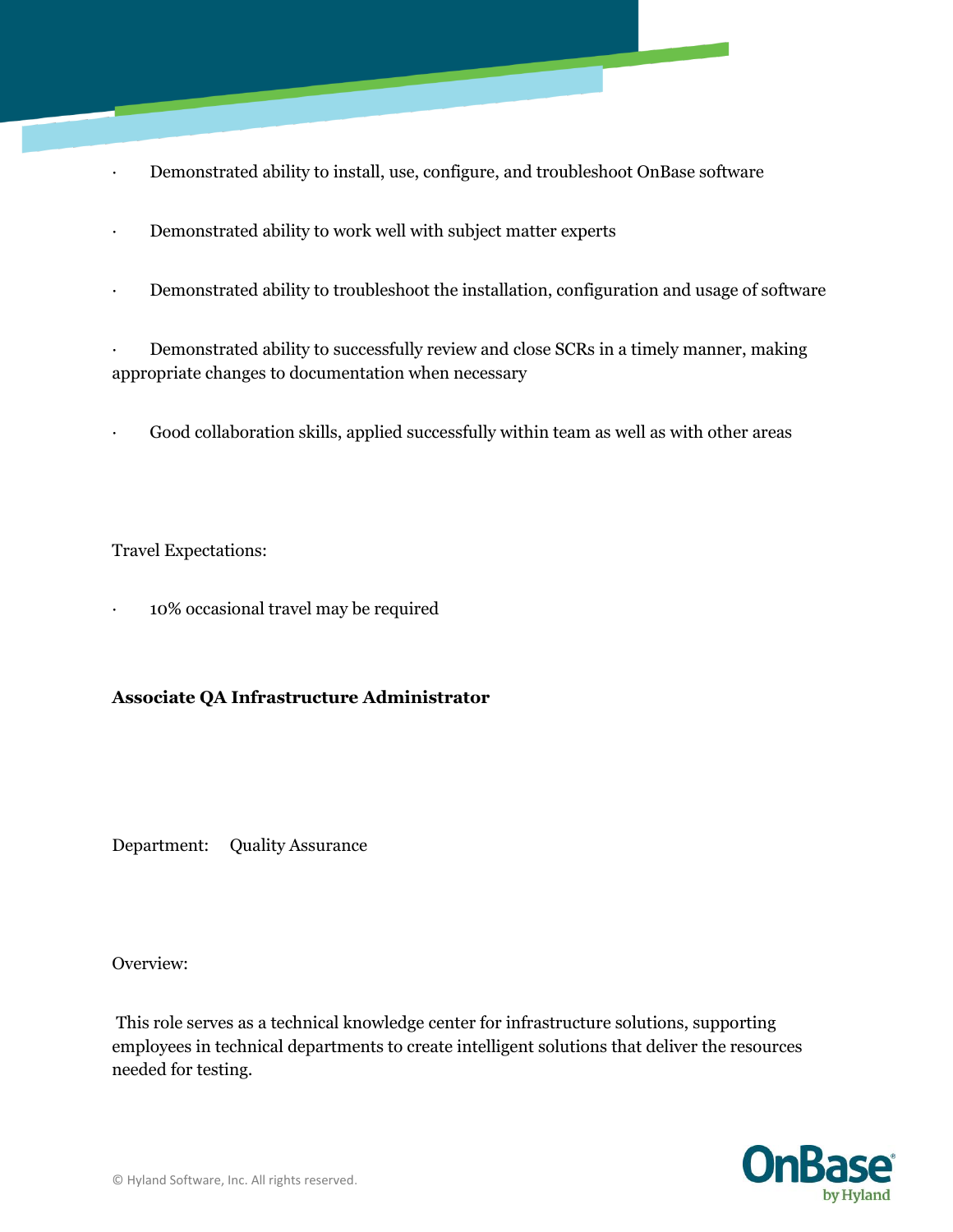- Demonstrated ability to install, use, configure, and troubleshoot OnBase software
- · Demonstrated ability to work well with subject matter experts
- · Demonstrated ability to troubleshoot the installation, configuration and usage of software

Demonstrated ability to successfully review and close SCRs in a timely manner, making appropriate changes to documentation when necessary

Good collaboration skills, applied successfully within team as well as with other areas

Travel Expectations:

· 10% occasional travel may be required

## **Associate QA Infrastructure Administrator**

Department: Quality Assurance

Overview:

This role serves as a technical knowledge center for infrastructure solutions, supporting employees in technical departments to create intelligent solutions that deliver the resources needed for testing.

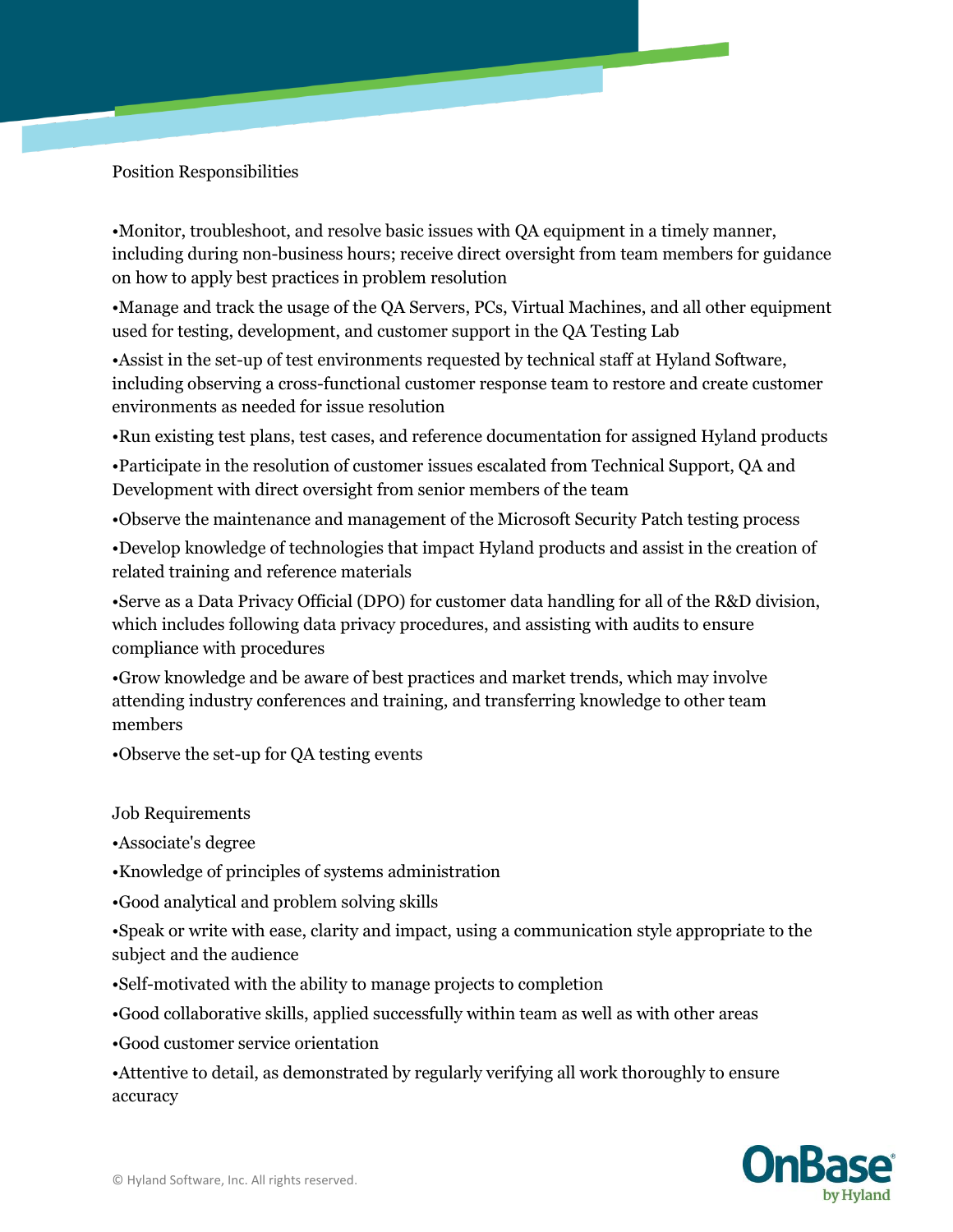Position Responsibilities

•Monitor, troubleshoot, and resolve basic issues with QA equipment in a timely manner, including during non-business hours; receive direct oversight from team members for guidance on how to apply best practices in problem resolution

•Manage and track the usage of the QA Servers, PCs, Virtual Machines, and all other equipment used for testing, development, and customer support in the QA Testing Lab

•Assist in the set-up of test environments requested by technical staff at Hyland Software, including observing a cross-functional customer response team to restore and create customer environments as needed for issue resolution

•Run existing test plans, test cases, and reference documentation for assigned Hyland products

•Participate in the resolution of customer issues escalated from Technical Support, QA and Development with direct oversight from senior members of the team

•Observe the maintenance and management of the Microsoft Security Patch testing process

•Develop knowledge of technologies that impact Hyland products and assist in the creation of related training and reference materials

•Serve as a Data Privacy Official (DPO) for customer data handling for all of the R&D division, which includes following data privacy procedures, and assisting with audits to ensure compliance with procedures

•Grow knowledge and be aware of best practices and market trends, which may involve attending industry conferences and training, and transferring knowledge to other team members

•Observe the set-up for QA testing events

Job Requirements

•Associate's degree

•Knowledge of principles of systems administration

•Good analytical and problem solving skills

•Speak or write with ease, clarity and impact, using a communication style appropriate to the subject and the audience

•Self-motivated with the ability to manage projects to completion

•Good collaborative skills, applied successfully within team as well as with other areas

•Good customer service orientation

•Attentive to detail, as demonstrated by regularly verifying all work thoroughly to ensure accuracy